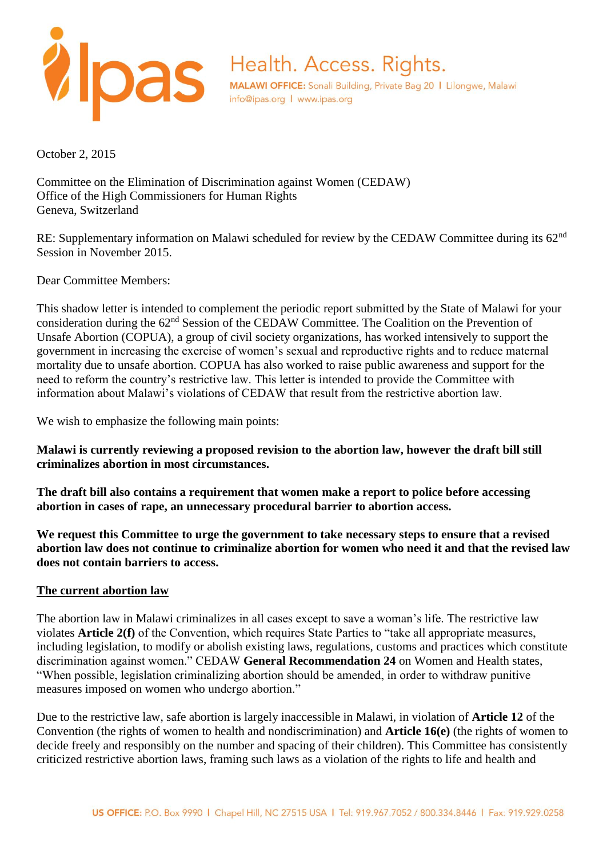

October 2, 2015

Committee on the Elimination of Discrimination against Women (CEDAW) Office of the High Commissioners for Human Rights Geneva, Switzerland

RE: Supplementary information on Malawi scheduled for review by the CEDAW Committee during its 62<sup>nd</sup> Session in November 2015.

Dear Committee Members:

This shadow letter is intended to complement the periodic report submitted by the State of Malawi for your consideration during the 62nd Session of the CEDAW Committee. The Coalition on the Prevention of Unsafe Abortion (COPUA), a group of civil society organizations, has worked intensively to support the government in increasing the exercise of women's sexual and reproductive rights and to reduce maternal mortality due to unsafe abortion. COPUA has also worked to raise public awareness and support for the need to reform the country's restrictive law. This letter is intended to provide the Committee with information about Malawi's violations of CEDAW that result from the restrictive abortion law.

We wish to emphasize the following main points:

**Malawi is currently reviewing a proposed revision to the abortion law, however the draft bill still criminalizes abortion in most circumstances.** 

**The draft bill also contains a requirement that women make a report to police before accessing abortion in cases of rape, an unnecessary procedural barrier to abortion access.**

**We request this Committee to urge the government to take necessary steps to ensure that a revised abortion law does not continue to criminalize abortion for women who need it and that the revised law does not contain barriers to access.** 

#### **The current abortion law**

The abortion law in Malawi criminalizes in all cases except to save a woman's life. The restrictive law violates **Article 2(f)** of the Convention, which requires State Parties to "take all appropriate measures, including legislation, to modify or abolish existing laws, regulations, customs and practices which constitute discrimination against women." CEDAW **General Recommendation 24** on Women and Health states, "When possible, legislation criminalizing abortion should be amended, in order to withdraw punitive measures imposed on women who undergo abortion."

Due to the restrictive law, safe abortion is largely inaccessible in Malawi, in violation of **Article 12** of the Convention (the rights of women to health and nondiscrimination) and **Article 16(e)** (the rights of women to decide freely and responsibly on the number and spacing of their children). This Committee has consistently criticized restrictive abortion laws, framing such laws as a violation of the rights to life and health and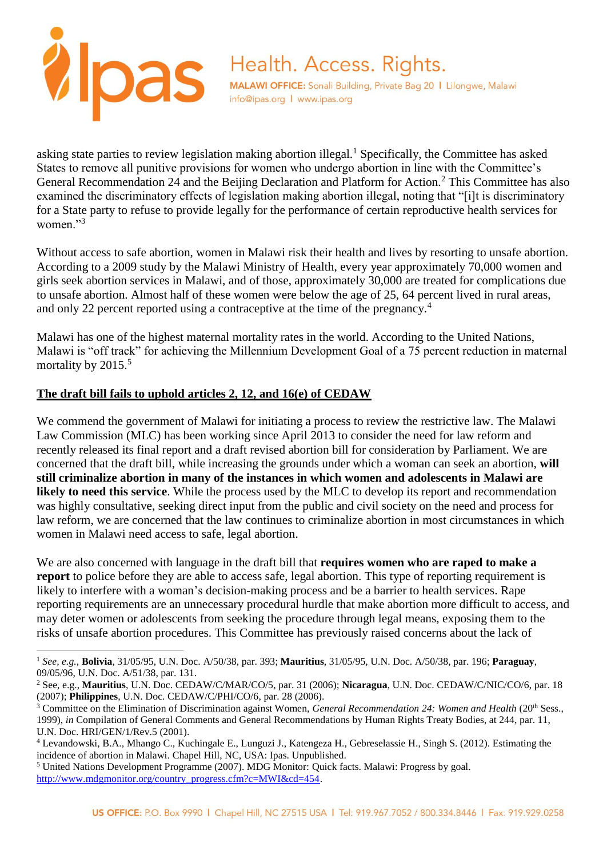

asking state parties to review legislation making abortion illegal.<sup>1</sup> Specifically, the Committee has asked States to remove all punitive provisions for women who undergo abortion in line with the Committee's General Recommendation 24 and the Beijing Declaration and Platform for Action.<sup>2</sup> This Committee has also examined the discriminatory effects of legislation making abortion illegal, noting that "[i]t is discriminatory for a State party to refuse to provide legally for the performance of certain reproductive health services for women<sup>"3</sup>

Without access to safe abortion, women in Malawi risk their health and lives by resorting to unsafe abortion. According to a 2009 study by the Malawi Ministry of Health, every year approximately 70,000 women and girls seek abortion services in Malawi, and of those, approximately 30,000 are treated for complications due to unsafe abortion. Almost half of these women were below the age of 25, 64 percent lived in rural areas, and only 22 percent reported using a contraceptive at the time of the pregnancy.<sup>4</sup>

Malawi has one of the highest maternal mortality rates in the world. According to the United Nations, Malawi is "off track" for achieving the Millennium Development Goal of a 75 percent reduction in maternal mortality by 2015.<sup>5</sup>

# **The draft bill fails to uphold articles 2, 12, and 16(e) of CEDAW**

We commend the government of Malawi for initiating a process to review the restrictive law. The Malawi Law Commission (MLC) has been working since April 2013 to consider the need for law reform and recently released its final report and a draft revised abortion bill for consideration by Parliament. We are concerned that the draft bill, while increasing the grounds under which a woman can seek an abortion, **will still criminalize abortion in many of the instances in which women and adolescents in Malawi are likely to need this service**. While the process used by the MLC to develop its report and recommendation was highly consultative, seeking direct input from the public and civil society on the need and process for law reform, we are concerned that the law continues to criminalize abortion in most circumstances in which women in Malawi need access to safe, legal abortion.

We are also concerned with language in the draft bill that **requires women who are raped to make a report** to police before they are able to access safe, legal abortion. This type of reporting requirement is likely to interfere with a woman's decision-making process and be a barrier to health services. Rape reporting requirements are an unnecessary procedural hurdle that make abortion more difficult to access, and may deter women or adolescents from seeking the procedure through legal means, exposing them to the risks of unsafe abortion procedures. This Committee has previously raised concerns about the lack of

l <sup>1</sup> *See, e.g.,* **Bolivia**, 31/05/95, U.N. Doc. A/50/38, par. 393; **Mauritius**, 31/05/95, U.N. Doc. A/50/38, par. 196; **Paraguay**, 09/05/96, U.N. Doc. A/51/38, par. 131.

<sup>2</sup> See, e.g., **Mauritius**, U.N. Doc. CEDAW/C/MAR/CO/5, par. 31 (2006); **Nicaragua**, U.N. Doc. CEDAW/C/NIC/CO/6, par. 18 (2007); **Philippines**, U.N. Doc. CEDAW/C/PHI/CO/6, par. 28 (2006).

<sup>&</sup>lt;sup>3</sup> Committee on the Elimination of Discrimination against Women, *General Recommendation 24: Women and Health* (20<sup>th</sup> Sess., 1999), *in* Compilation of General Comments and General Recommendations by Human Rights Treaty Bodies, at 244, par. 11, U.N. Doc. HRI/GEN/1/Rev.5 (2001).

<sup>4</sup> Levandowski, B.A., Mhango C., Kuchingale E., Lunguzi J., Katengeza H., Gebreselassie H., Singh S. (2012). Estimating the incidence of abortion in Malawi. Chapel Hill, NC, USA: Ipas. Unpublished.

<sup>5</sup> United Nations Development Programme (2007). MDG Monitor: Quick facts. Malawi: Progress by goal. [http://www.mdgmonitor.org/country\\_progress.cfm?c=MWI&cd=454.](http://www.mdgmonitor.org/country_progress.cfm?c=MWI&cd=454)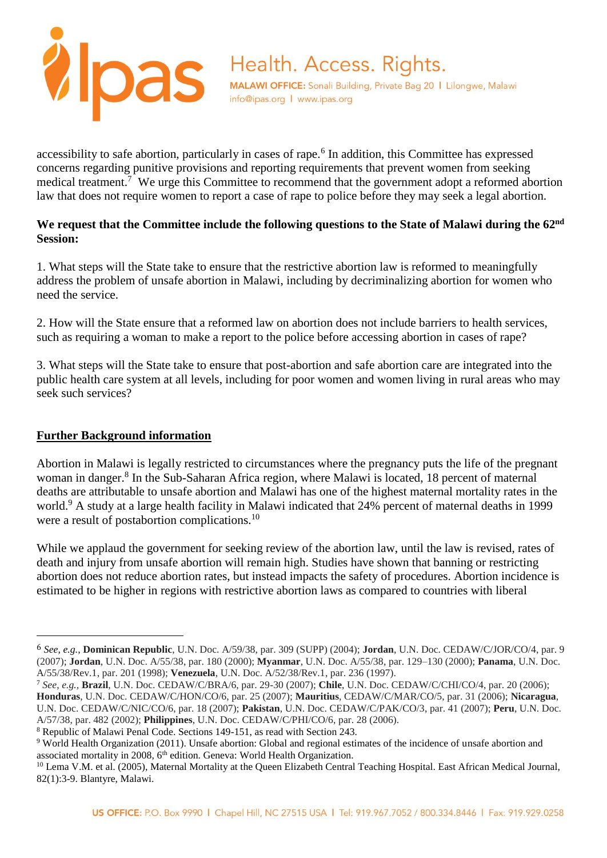

accessibility to safe abortion, particularly in cases of rape.<sup>6</sup> In addition, this Committee has expressed concerns regarding punitive provisions and reporting requirements that prevent women from seeking medical treatment.<sup>7</sup> We urge this Committee to recommend that the government adopt a reformed abortion law that does not require women to report a case of rape to police before they may seek a legal abortion.

### **We request that the Committee include the following questions to the State of Malawi during the 62nd Session:**

1. What steps will the State take to ensure that the restrictive abortion law is reformed to meaningfully address the problem of unsafe abortion in Malawi, including by decriminalizing abortion for women who need the service.

2. How will the State ensure that a reformed law on abortion does not include barriers to health services, such as requiring a woman to make a report to the police before accessing abortion in cases of rape?

3. What steps will the State take to ensure that post-abortion and safe abortion care are integrated into the public health care system at all levels, including for poor women and women living in rural areas who may seek such services?

# **Further Background information**

 $\overline{a}$ 

Abortion in Malawi is legally restricted to circumstances where the pregnancy puts the life of the pregnant woman in danger.<sup>8</sup> In the Sub-Saharan Africa region, where Malawi is located, 18 percent of maternal deaths are attributable to unsafe abortion and Malawi has one of the highest maternal mortality rates in the world.<sup>9</sup> A study at a large health facility in Malawi indicated that 24% percent of maternal deaths in 1999 were a result of postabortion complications.<sup>10</sup>

While we applaud the government for seeking review of the abortion law, until the law is revised, rates of death and injury from unsafe abortion will remain high. Studies have shown that banning or restricting abortion does not reduce abortion rates, but instead impacts the safety of procedures. Abortion incidence is estimated to be higher in regions with restrictive abortion laws as compared to countries with liberal

<sup>6</sup> *See, e.g.,* **Dominican Republic**, U.N. Doc. A/59/38, par. 309 (SUPP) (2004); **Jordan**, U.N. Doc. CEDAW/C/JOR/CO/4, par. 9 (2007); **Jordan**, U.N. Doc. A/55/38, par. 180 (2000); **Myanmar**, U.N. Doc. A/55/38, par. 129–130 (2000); **Panama**, U.N. Doc. A/55/38/Rev.1, par. 201 (1998); **Venezuela**, U.N. Doc. A/52/38/Rev.1, par. 236 (1997).

<sup>7</sup> *See, e.g.,* **Brazil**, U.N. Doc. CEDAW/C/BRA/6, par. 29-30 (2007); **Chile**, U.N. Doc. CEDAW/C/CHI/CO/4, par. 20 (2006); **Honduras**, U.N. Doc. CEDAW/C/HON/CO/6, par. 25 (2007); **Mauritius**, CEDAW/C/MAR/CO/5, par. 31 (2006); **Nicaragua**, U.N. Doc. CEDAW/C/NIC/CO/6, par. 18 (2007); **Pakistan**, U.N. Doc. CEDAW/C/PAK/CO/3, par. 41 (2007); **Peru**, U.N. Doc. A/57/38, par. 482 (2002); **Philippines**, U.N. Doc. CEDAW/C/PHI/CO/6, par. 28 (2006).

<sup>8</sup> Republic of Malawi Penal Code. Sections 149-151, as read with Section 243.

<sup>9</sup> World Health Organization (2011). Unsafe abortion: Global and regional estimates of the incidence of unsafe abortion and associated mortality in 2008, 6<sup>th</sup> edition. Geneva: World Health Organization.

<sup>&</sup>lt;sup>10</sup> Lema V.M. et al. (2005), Maternal Mortality at the Queen Elizabeth Central Teaching Hospital. East African Medical Journal, 82(1):3-9. Blantyre, Malawi.